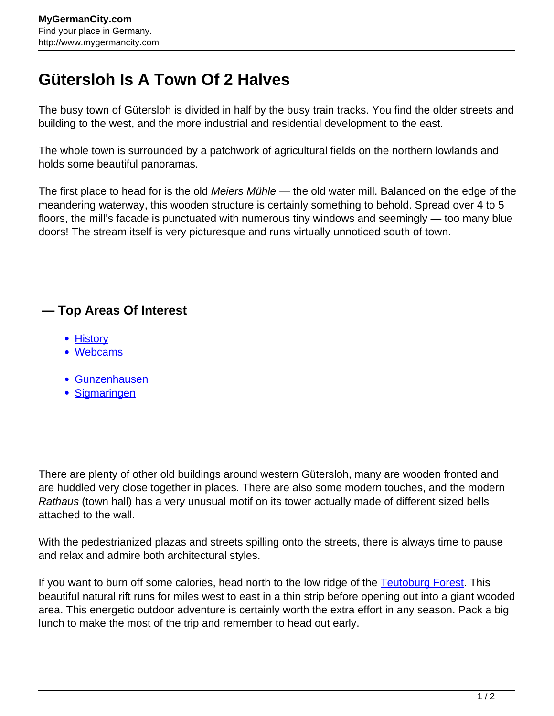## **Gütersloh Is A Town Of 2 Halves**

The busy town of Gütersloh is divided in half by the busy train tracks. You find the older streets and building to the west, and the more industrial and residential development to the east.

The whole town is surrounded by a patchwork of agricultural fields on the northern lowlands and holds some beautiful panoramas.

The first place to head for is the old Meiers Mühle — the old water mill. Balanced on the edge of the meandering waterway, this wooden structure is certainly something to behold. Spread over 4 to 5 floors, the mill's facade is punctuated with numerous tiny windows and seemingly — too many blue doors! The stream itself is very picturesque and runs virtually unnoticed south of town.

## **— Top Areas Of Interest**

- [History](http://www.mygermancity.com/leipzig-history)
- [Webcams](http://www.mygermancity.com/neustadt-holstein-webcams)
- [Gunzenhausen](http://www.mygermancity.com/gunzenhausen)
- [Sigmaringen](http://www.mygermancity.com/sigmaringen)

There are plenty of other old buildings around western Gütersloh, many are wooden fronted and are huddled very close together in places. There are also some modern touches, and the modern Rathaus (town hall) has a very unusual motif on its tower actually made of different sized bells attached to the wall.

With the pedestrianized plazas and streets spilling onto the streets, there is always time to pause and relax and admire both architectural styles.

If you want to burn off some calories, head north to the low ridge of the [Teutoburg Forest.](http://www.mygermancity.com/teutoburg-forest) This beautiful natural rift runs for miles west to east in a thin strip before opening out into a giant wooded area. This energetic outdoor adventure is certainly worth the extra effort in any season. Pack a big lunch to make the most of the trip and remember to head out early.